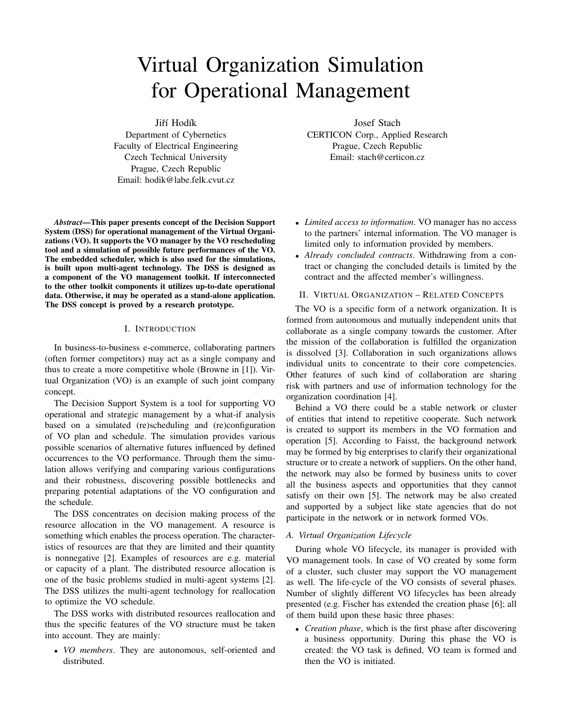# Virtual Organization Simulation for Operational Management

Jiří Hodík

Department of Cybernetics Faculty of Electrical Engineering Czech Technical University Prague, Czech Republic Email: hodik@labe.felk.cvut.cz

*Abstract*—This paper presents concept of the Decision Support System (DSS) for operational management of the Virtual Organizations (VO). It supports the VO manager by the VO rescheduling tool and a simulation of possible future performances of the VO. The embedded scheduler, which is also used for the simulations, is built upon multi-agent technology. The DSS is designed as a component of the VO management toolkit. If interconnected to the other toolkit components it utilizes up-to-date operational data. Otherwise, it may be operated as a stand-alone application. The DSS concept is proved by a research prototype.

### I. INTRODUCTION

In business-to-business e-commerce, collaborating partners (often former competitors) may act as a single company and thus to create a more competitive whole (Browne in [1]). Virtual Organization (VO) is an example of such joint company concept.

The Decision Support System is a tool for supporting VO operational and strategic management by a what-if analysis based on a simulated (re)scheduling and (re)configuration of VO plan and schedule. The simulation provides various possible scenarios of alternative futures influenced by defined occurrences to the VO performance. Through them the simulation allows verifying and comparing various configurations and their robustness, discovering possible bottlenecks and preparing potential adaptations of the VO configuration and the schedule.

The DSS concentrates on decision making process of the resource allocation in the VO management. A resource is something which enables the process operation. The characteristics of resources are that they are limited and their quantity is nonnegative [2]. Examples of resources are e.g. material or capacity of a plant. The distributed resource allocation is one of the basic problems studied in multi-agent systems [2]. The DSS utilizes the multi-agent technology for reallocation to optimize the VO schedule.

The DSS works with distributed resources reallocation and thus the specific features of the VO structure must be taken into account. They are mainly:

• *VO members*. They are autonomous, self-oriented and distributed.

Josef Stach CERTICON Corp., Applied Research Prague, Czech Republic Email: stach@certicon.cz

- *Limited access to information*. VO manager has no access to the partners' internal information. The VO manager is limited only to information provided by members.
- *Already concluded contracts*. Withdrawing from a contract or changing the concluded details is limited by the contract and the affected member's willingness.

### II. VIRTUAL ORGANIZATION – RELATED CONCEPTS

The VO is a specific form of a network organization. It is formed from autonomous and mutually independent units that collaborate as a single company towards the customer. After the mission of the collaboration is fulfilled the organization is dissolved [3]. Collaboration in such organizations allows individual units to concentrate to their core competencies. Other features of such kind of collaboration are sharing risk with partners and use of information technology for the organization coordination [4].

Behind a VO there could be a stable network or cluster of entities that intend to repetitive cooperate. Such network is created to support its members in the VO formation and operation [5]. According to Faisst, the background network may be formed by big enterprises to clarify their organizational structure or to create a network of suppliers. On the other hand, the network may also be formed by business units to cover all the business aspects and opportunities that they cannot satisfy on their own [5]. The network may be also created and supported by a subject like state agencies that do not participate in the network or in network formed VOs.

## *A. Virtual Organization Lifecycle*

During whole VO lifecycle, its manager is provided with VO management tools. In case of VO created by some form of a cluster, such cluster may support the VO management as well. The life-cycle of the VO consists of several phases. Number of slightly different VO lifecycles has been already presented (e.g. Fischer has extended the creation phase [6]; all of them build upon these basic three phases:

• *Creation phase*, which is the first phase after discovering a business opportunity. During this phase the VO is created: the VO task is defined, VO team is formed and then the VO is initiated.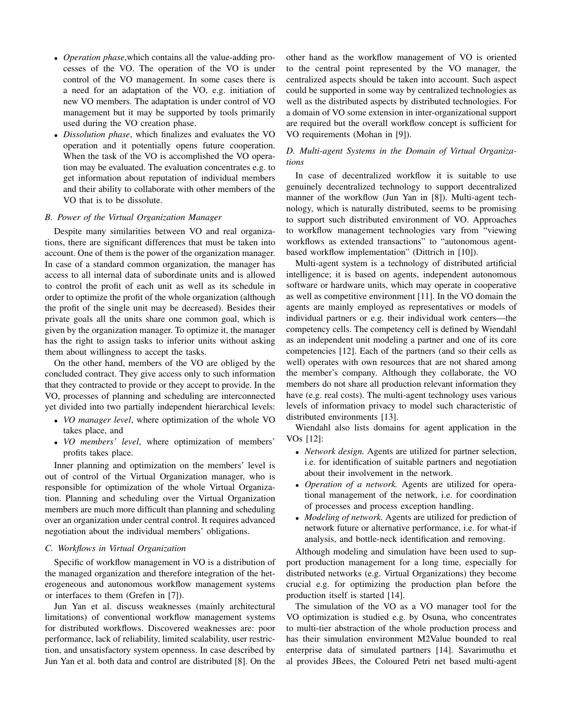- *Operation phase*,which contains all the value-adding processes of the VO. The operation of the VO is under control of the VO management. In some cases there is a need for an adaptation of the VO, e.g. initiation of new VO members. The adaptation is under control of VO management but it may be supported by tools primarily used during the VO creation phase.
- *Dissolution phase*, which finalizes and evaluates the VO operation and it potentially opens future cooperation. When the task of the VO is accomplished the VO operation may be evaluated. The evaluation concentrates e.g. to get information about reputation of individual members and their ability to collaborate with other members of the VO that is to be dissolute.

#### *B. Power of the Virtual Organization Manager*

Despite many similarities between VO and real organizations, there are significant differences that must be taken into account. One of them is the power of the organization manager. In case of a standard common organization, the manager has access to all internal data of subordinate units and is allowed to control the profit of each unit as well as its schedule in order to optimize the profit of the whole organization (although the profit of the single unit may be decreased). Besides their private goals all the units share one common goal, which is given by the organization manager. To optimize it, the manager has the right to assign tasks to inferior units without asking them about willingness to accept the tasks.

On the other hand, members of the VO are obliged by the concluded contract. They give access only to such information that they contracted to provide or they accept to provide. In the VO, processes of planning and scheduling are interconnected yet divided into two partially independent hierarchical levels:

- *VO manager level*, where optimization of the whole VO takes place, and
- *VO members' level*, where optimization of members' profits takes place.

Inner planning and optimization on the members' level is out of control of the Virtual Organization manager, who is responsible for optimization of the whole Virtual Organization. Planning and scheduling over the Virtual Organization members are much more difficult than planning and scheduling over an organization under central control. It requires advanced negotiation about the individual members' obligations.

#### *C. Workflows in Virtual Organization*

Specific of workflow management in VO is a distribution of the managed organization and therefore integration of the heterogeneous and autonomous workflow management systems or interfaces to them (Grefen in [7]).

Jun Yan et al. discuss weaknesses (mainly architectural limitations) of conventional workflow management systems for distributed workflows. Discovered weaknesses are: poor performance, lack of reliability, limited scalability, user restriction, and unsatisfactory system openness. In case described by Jun Yan et al. both data and control are distributed [8]. On the

other hand as the workflow management of VO is oriented to the central point represented by the VO manager, the centralized aspects should be taken into account. Such aspect could be supported in some way by centralized technologies as well as the distributed aspects by distributed technologies. For a domain of VO some extension in inter-organizational support are required but the overall workflow concept is sufficient for VO requirements (Mohan in [9]).

# *D. Multi-agent Systems in the Domain of Virtual Organizations*

In case of decentralized workflow it is suitable to use genuinely decentralized technology to support decentralized manner of the workflow (Jun Yan in [8]). Multi-agent technology, which is naturally distributed, seems to be promising to support such distributed environment of VO. Approaches to workflow management technologies vary from "viewing workflows as extended transactions" to "autonomous agentbased workflow implementation" (Dittrich in [10]).

Multi-agent system is a technology of distributed artificial intelligence; it is based on agents, independent autonomous software or hardware units, which may operate in cooperative as well as competitive environment [11]. In the VO domain the agents are mainly employed as representatives or models of individual partners or e.g. their individual work centers—the competency cells. The competency cell is defined by Wiendahl as an independent unit modeling a partner and one of its core competencies [12]. Each of the partners (and so their cells as well) operates with own resources that are not shared among the member's company. Although they collaborate, the VO members do not share all production relevant information they have (e.g. real costs). The multi-agent technology uses various levels of information privacy to model such characteristic of distributed environments [13].

Wiendahl also lists domains for agent application in the VOs [12]:

- *Network design.* Agents are utilized for partner selection, i.e. for identification of suitable partners and negotiation about their involvement in the network.
- *Operation of a network.* Agents are utilized for operational management of the network, i.e. for coordination of processes and process exception handling.
- *Modeling of network.* Agents are utilized for prediction of network future or alternative performance, i.e. for what-if analysis, and bottle-neck identification and removing.

Although modeling and simulation have been used to support production management for a long time, especially for distributed networks (e.g. Virtual Organizations) they become crucial e.g. for optimizing the production plan before the production itself is started [14].

The simulation of the VO as a VO manager tool for the VO optimization is studied e.g. by Osuna, who concentrates to multi-tier abstraction of the whole production process and has their simulation environment M2Value bounded to real enterprise data of simulated partners [14]. Savarimuthu et al provides JBees, the Coloured Petri net based multi-agent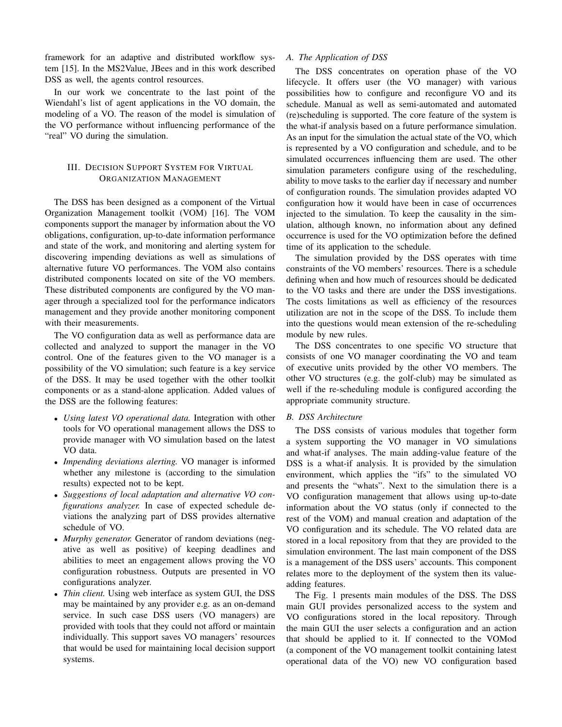framework for an adaptive and distributed workflow system [15]. In the MS2Value, JBees and in this work described DSS as well, the agents control resources.

In our work we concentrate to the last point of the Wiendahl's list of agent applications in the VO domain, the modeling of a VO. The reason of the model is simulation of the VO performance without influencing performance of the "real" VO during the simulation.

# III. DECISION SUPPORT SYSTEM FOR VIRTUAL ORGANIZATION MANAGEMENT

The DSS has been designed as a component of the Virtual Organization Management toolkit (VOM) [16]. The VOM components support the manager by information about the VO obligations, configuration, up-to-date information performance and state of the work, and monitoring and alerting system for discovering impending deviations as well as simulations of alternative future VO performances. The VOM also contains distributed components located on site of the VO members. These distributed components are configured by the VO manager through a specialized tool for the performance indicators management and they provide another monitoring component with their measurements.

The VO configuration data as well as performance data are collected and analyzed to support the manager in the VO control. One of the features given to the VO manager is a possibility of the VO simulation; such feature is a key service of the DSS. It may be used together with the other toolkit components or as a stand-alone application. Added values of the DSS are the following features:

- *Using latest VO operational data.* Integration with other tools for VO operational management allows the DSS to provide manager with VO simulation based on the latest VO data.
- *Impending deviations alerting.* VO manager is informed whether any milestone is (according to the simulation results) expected not to be kept.
- *Suggestions of local adaptation and alternative VO configurations analyzer.* In case of expected schedule deviations the analyzing part of DSS provides alternative schedule of VO.
- *Murphy generator.* Generator of random deviations (negative as well as positive) of keeping deadlines and abilities to meet an engagement allows proving the VO configuration robustness. Outputs are presented in VO configurations analyzer.
- *Thin client*. Using web interface as system GUI, the DSS may be maintained by any provider e.g. as an on-demand service. In such case DSS users (VO managers) are provided with tools that they could not afford or maintain individually. This support saves VO managers' resources that would be used for maintaining local decision support systems.

## *A. The Application of DSS*

The DSS concentrates on operation phase of the VO lifecycle. It offers user (the VO manager) with various possibilities how to configure and reconfigure VO and its schedule. Manual as well as semi-automated and automated (re)scheduling is supported. The core feature of the system is the what-if analysis based on a future performance simulation. As an input for the simulation the actual state of the VO, which is represented by a VO configuration and schedule, and to be simulated occurrences influencing them are used. The other simulation parameters configure using of the rescheduling, ability to move tasks to the earlier day if necessary and number of configuration rounds. The simulation provides adapted VO configuration how it would have been in case of occurrences injected to the simulation. To keep the causality in the simulation, although known, no information about any defined occurrence is used for the VO optimization before the defined time of its application to the schedule.

The simulation provided by the DSS operates with time constraints of the VO members' resources. There is a schedule defining when and how much of resources should be dedicated to the VO tasks and there are under the DSS investigations. The costs limitations as well as efficiency of the resources utilization are not in the scope of the DSS. To include them into the questions would mean extension of the re-scheduling module by new rules.

The DSS concentrates to one specific VO structure that consists of one VO manager coordinating the VO and team of executive units provided by the other VO members. The other VO structures (e.g. the golf-club) may be simulated as well if the re-scheduling module is configured according the appropriate community structure.

## *B. DSS Architecture*

The DSS consists of various modules that together form a system supporting the VO manager in VO simulations and what-if analyses. The main adding-value feature of the DSS is a what-if analysis. It is provided by the simulation environment, which applies the "ifs" to the simulated VO and presents the "whats". Next to the simulation there is a VO configuration management that allows using up-to-date information about the VO status (only if connected to the rest of the VOM) and manual creation and adaptation of the VO configuration and its schedule. The VO related data are stored in a local repository from that they are provided to the simulation environment. The last main component of the DSS is a management of the DSS users' accounts. This component relates more to the deployment of the system then its valueadding features.

The Fig. 1 presents main modules of the DSS. The DSS main GUI provides personalized access to the system and VO configurations stored in the local repository. Through the main GUI the user selects a configuration and an action that should be applied to it. If connected to the VOMod (a component of the VO management toolkit containing latest operational data of the VO) new VO configuration based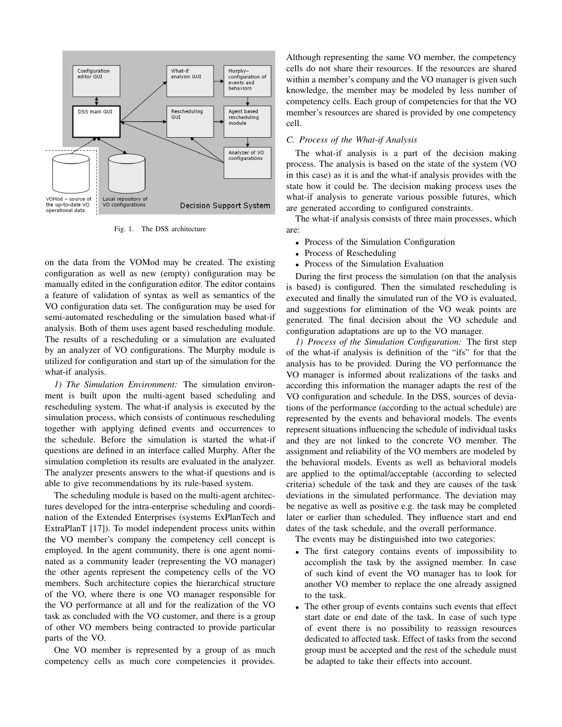

Fig. 1. The DSS architecture

on the data from the VOMod may be created. The existing configuration as well as new (empty) configuration may be manually edited in the configuration editor. The editor contains a feature of validation of syntax as well as semantics of the VO configuration data set. The configuration may be used for semi-automated rescheduling or the simulation based what-if analysis. Both of them uses agent based rescheduling module. The results of a rescheduling or a simulation are evaluated by an analyzer of VO configurations. The Murphy module is utilized for configuration and start up of the simulation for the what-if analysis.

*1) The Simulation Environment:* The simulation environment is built upon the multi-agent based scheduling and rescheduling system. The what-if analysis is executed by the simulation process, which consists of continuous rescheduling together with applying defined events and occurrences to the schedule. Before the simulation is started the what-if questions are defined in an interface called Murphy. After the simulation completion its results are evaluated in the analyzer. The analyzer presents answers to the what-if questions and is able to give recommendations by its rule-based system.

The scheduling module is based on the multi-agent architectures developed for the intra-enterprise scheduling and coordination of the Extended Enterprises (systems ExPlanTech and ExtraPlanT [17]). To model independent process units within the VO member's company the competency cell concept is employed. In the agent community, there is one agent nominated as a community leader (representing the VO manager) the other agents represent the competency cells of the VO members. Such architecture copies the hierarchical structure of the VO, where there is one VO manager responsible for the VO performance at all and for the realization of the VO task as concluded with the VO customer, and there is a group of other VO members being contracted to provide particular parts of the VO.

One VO member is represented by a group of as much competency cells as much core competencies it provides.

Although representing the same VO member, the competency cells do not share their resources. If the resources are shared within a member's company and the VO manager is given such knowledge, the member may be modeled by less number of competency cells. Each group of competencies for that the VO member's resources are shared is provided by one competency cell.

## *C. Process of the What-if Analysis*

The what-if analysis is a part of the decision making process. The analysis is based on the state of the system (VO in this case) as it is and the what-if analysis provides with the state how it could be. The decision making process uses the what-if analysis to generate various possible futures, which are generated according to configured constraints.

The what-if analysis consists of three main processes, which are:

- Process of the Simulation Configuration
- Process of Rescheduling
- Process of the Simulation Evaluation

During the first process the simulation (on that the analysis is based) is configured. Then the simulated rescheduling is executed and finally the simulated run of the VO is evaluated, and suggestions for elimination of the VO weak points are generated. The final decision about the VO schedule and configuration adaptations are up to the VO manager.

*1) Process of the Simulation Configuration:* The first step of the what-if analysis is definition of the "ifs" for that the analysis has to be provided. During the VO performance the VO manager is informed about realizations of the tasks and according this information the manager adapts the rest of the VO configuration and schedule. In the DSS, sources of deviations of the performance (according to the actual schedule) are represented by the events and behavioral models. The events represent situations influencing the schedule of individual tasks and they are not linked to the concrete VO member. The assignment and reliability of the VO members are modeled by the behavioral models. Events as well as behavioral models are applied to the optimal/acceptable (according to selected criteria) schedule of the task and they are causes of the task deviations in the simulated performance. The deviation may be negative as well as positive e.g. the task may be completed later or earlier than scheduled. They influence start and end dates of the task schedule, and the overall performance.

The events may be distinguished into two categories:

- The first category contains events of impossibility to accomplish the task by the assigned member. In case of such kind of event the VO manager has to look for another VO member to replace the one already assigned to the task.
- The other group of events contains such events that effect start date or end date of the task. In case of such type of event there is no possibility to reassign resources dedicated to affected task. Effect of tasks from the second group must be accepted and the rest of the schedule must be adapted to take their effects into account.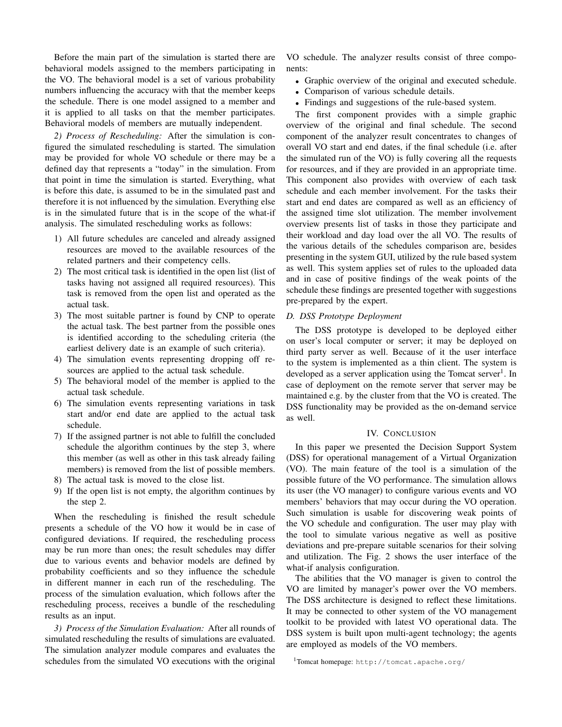Before the main part of the simulation is started there are behavioral models assigned to the members participating in the VO. The behavioral model is a set of various probability numbers influencing the accuracy with that the member keeps the schedule. There is one model assigned to a member and it is applied to all tasks on that the member participates. Behavioral models of members are mutually independent.

*2) Process of Rescheduling:* After the simulation is configured the simulated rescheduling is started. The simulation may be provided for whole VO schedule or there may be a defined day that represents a "today" in the simulation. From that point in time the simulation is started. Everything, what is before this date, is assumed to be in the simulated past and therefore it is not influenced by the simulation. Everything else is in the simulated future that is in the scope of the what-if analysis. The simulated rescheduling works as follows:

- 1) All future schedules are canceled and already assigned resources are moved to the available resources of the related partners and their competency cells.
- 2) The most critical task is identified in the open list (list of tasks having not assigned all required resources). This task is removed from the open list and operated as the actual task.
- 3) The most suitable partner is found by CNP to operate the actual task. The best partner from the possible ones is identified according to the scheduling criteria (the earliest delivery date is an example of such criteria).
- 4) The simulation events representing dropping off resources are applied to the actual task schedule.
- 5) The behavioral model of the member is applied to the actual task schedule.
- 6) The simulation events representing variations in task start and/or end date are applied to the actual task schedule.
- 7) If the assigned partner is not able to fulfill the concluded schedule the algorithm continues by the step 3, where this member (as well as other in this task already failing members) is removed from the list of possible members.
- 8) The actual task is moved to the close list.
- 9) If the open list is not empty, the algorithm continues by the step 2.

When the rescheduling is finished the result schedule presents a schedule of the VO how it would be in case of configured deviations. If required, the rescheduling process may be run more than ones; the result schedules may differ due to various events and behavior models are defined by probability coefficients and so they influence the schedule in different manner in each run of the rescheduling. The process of the simulation evaluation, which follows after the rescheduling process, receives a bundle of the rescheduling results as an input.

*3) Process of the Simulation Evaluation:* After all rounds of simulated rescheduling the results of simulations are evaluated. The simulation analyzer module compares and evaluates the schedules from the simulated VO executions with the original

VO schedule. The analyzer results consist of three components:

- Graphic overview of the original and executed schedule.
- Comparison of various schedule details.
- Findings and suggestions of the rule-based system.

The first component provides with a simple graphic overview of the original and final schedule. The second component of the analyzer result concentrates to changes of overall VO start and end dates, if the final schedule (i.e. after the simulated run of the VO) is fully covering all the requests for resources, and if they are provided in an appropriate time. This component also provides with overview of each task schedule and each member involvement. For the tasks their start and end dates are compared as well as an efficiency of the assigned time slot utilization. The member involvement overview presents list of tasks in those they participate and their workload and day load over the all VO. The results of the various details of the schedules comparison are, besides presenting in the system GUI, utilized by the rule based system as well. This system applies set of rules to the uploaded data and in case of positive findings of the weak points of the schedule these findings are presented together with suggestions pre-prepared by the expert.

## *D. DSS Prototype Deployment*

The DSS prototype is developed to be deployed either on user's local computer or server; it may be deployed on third party server as well. Because of it the user interface to the system is implemented as a thin client. The system is developed as a server application using the Tomcat server<sup>1</sup>. In case of deployment on the remote server that server may be maintained e.g. by the cluster from that the VO is created. The DSS functionality may be provided as the on-demand service as well.

## IV. CONCLUSION

In this paper we presented the Decision Support System (DSS) for operational management of a Virtual Organization (VO). The main feature of the tool is a simulation of the possible future of the VO performance. The simulation allows its user (the VO manager) to configure various events and VO members' behaviors that may occur during the VO operation. Such simulation is usable for discovering weak points of the VO schedule and configuration. The user may play with the tool to simulate various negative as well as positive deviations and pre-prepare suitable scenarios for their solving and utilization. The Fig. 2 shows the user interface of the what-if analysis configuration.

The abilities that the VO manager is given to control the VO are limited by manager's power over the VO members. The DSS architecture is designed to reflect these limitations. It may be connected to other system of the VO management toolkit to be provided with latest VO operational data. The DSS system is built upon multi-agent technology; the agents are employed as models of the VO members.

<sup>1</sup>Tomcat homepage: http://tomcat.apache.org/